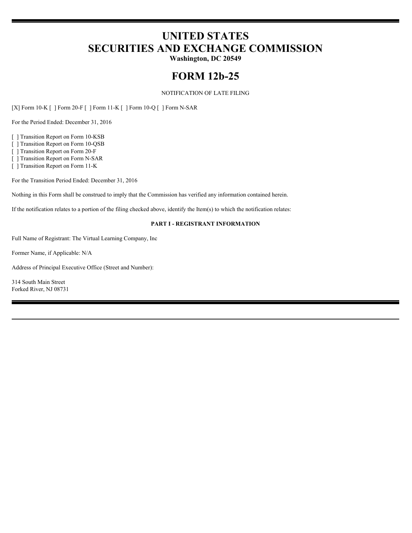# **UNITED STATES SECURITIES AND EXCHANGE COMMISSION**

**Washington, DC 20549**

## **FORM 12b-25**

NOTIFICATION OF LATE FILING

[X] Form 10-K [ ] Form 20-F [ ] Form 11-K [ ] Form 10-Q [ ] Form N-SAR

For the Period Ended: December 31, 2016

[ ] Transition Report on Form 10-KSB

[ ] Transition Report on Form 10-QSB

[ ] Transition Report on Form 20-F

[ ] Transition Report on Form N-SAR

[ ] Transition Report on Form 11-K

For the Transition Period Ended: December 31, 2016

Nothing in this Form shall be construed to imply that the Commission has verified any information contained herein.

If the notification relates to a portion of the filing checked above, identify the Item(s) to which the notification relates:

#### **PART I - REGISTRANT INFORMATION**

Full Name of Registrant: The Virtual Learning Company, Inc

Former Name, if Applicable: N/A

Address of Principal Executive Office (Street and Number):

314 South Main Street Forked River, NJ 08731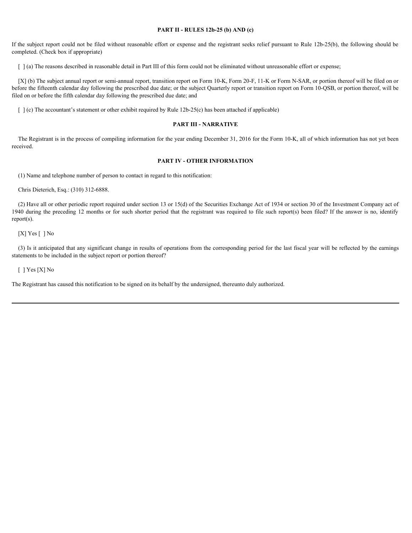#### **PART II - RULES 12b-25 (b) AND (c)**

If the subject report could not be filed without reasonable effort or expense and the registrant seeks relief pursuant to Rule 12b-25(b), the following should be completed. (Check box if appropriate)

[  $\alpha$ ] (a) The reasons described in reasonable detail in Part III of this form could not be eliminated without unreasonable effort or expense;

[X] (b) The subject annual report or semi-annual report, transition report on Form 10-K, Form 20-F, 11-K or Form N-SAR, or portion thereof will be filed on or before the fifteenth calendar day following the prescribed due date; or the subject Quarterly report or transition report on Form 10-QSB, or portion thereof, will be filed on or before the fifth calendar day following the prescribed due date; and

 $\lceil \cdot \rceil$  (c) The accountant's statement or other exhibit required by Rule 12b-25(c) has been attached if applicable)

#### **PART III - NARRATIVE**

The Registrant is in the process of compiling information for the year ending December 31, 2016 for the Form 10-K, all of which information has not yet been received.

#### **PART IV - OTHER INFORMATION**

(1) Name and telephone number of person to contact in regard to this notification:

Chris Dieterich, Esq.: (310) 312-6888.

(2) Have all or other periodic report required under section 13 or 15(d) of the Securities Exchange Act of 1934 or section 30 of the Investment Company act of 1940 during the preceding 12 months or for such shorter period that the registrant was required to file such report(s) been filed? If the answer is no, identify report(s).

 $[X]$  Yes  $[ ]$  No

(3) Is it anticipated that any significant change in results of operations from the corresponding period for the last fiscal year will be reflected by the earnings statements to be included in the subject report or portion thereof?

[  $]$  Yes [X] No

The Registrant has caused this notification to be signed on its behalf by the undersigned, thereunto duly authorized.